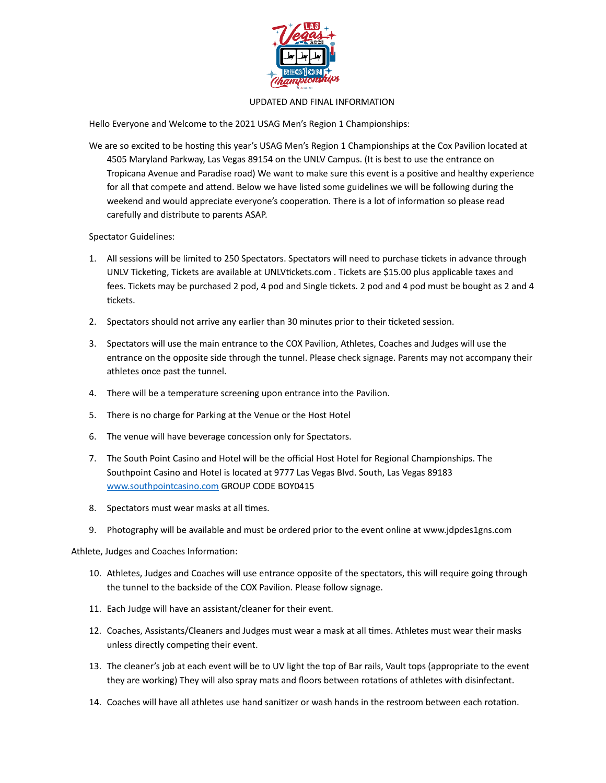

## UPDATED AND FINAL INFORMATION

Hello Everyone and Welcome to the 2021 USAG Men's Region 1 Championships:

We are so excited to be hosting this year's USAG Men's Region 1 Championships at the Cox Pavilion located at 4505 Maryland Parkway, Las Vegas 89154 on the UNLV Campus. (It is best to use the entrance on Tropicana Avenue and Paradise road) We want to make sure this event is a positive and healthy experience for all that compete and attend. Below we have listed some guidelines we will be following during the weekend and would appreciate everyone's cooperation. There is a lot of information so please read carefully and distribute to parents ASAP.

Spectator Guidelines:

- 1. All sessions will be limited to 250 Spectators. Spectators will need to purchase tickets in advance through UNLV Ticketing, Tickets are available at UNLVtickets.com . Tickets are \$15.00 plus applicable taxes and fees. Tickets may be purchased 2 pod, 4 pod and Single tickets. 2 pod and 4 pod must be bought as 2 and 4 tickets.
- 2. Spectators should not arrive any earlier than 30 minutes prior to their ticketed session.
- 3. Spectators will use the main entrance to the COX Pavilion, Athletes, Coaches and Judges will use the entrance on the opposite side through the tunnel. Please check signage. Parents may not accompany their athletes once past the tunnel.
- 4. There will be a temperature screening upon entrance into the Pavilion.
- 5. There is no charge for Parking at the Venue or the Host Hotel
- 6. The venue will have beverage concession only for Spectators.
- 7. The South Point Casino and Hotel will be the official Host Hotel for Regional Championships. The Southpoint Casino and Hotel is located at 9777 Las Vegas Blvd. South, Las Vegas 89183 [www.southpointcasino.com](http://www.southpointcasino.com) GROUP CODE BOY0415
- 8. Spectators must wear masks at all times.
- 9. Photography will be available and must be ordered prior to the event online at www.jdpdes1gns.com

Athlete, Judges and Coaches Information:

- 10. Athletes, Judges and Coaches will use entrance opposite of the spectators, this will require going through the tunnel to the backside of the COX Pavilion. Please follow signage.
- 11. Each Judge will have an assistant/cleaner for their event.
- 12. Coaches, Assistants/Cleaners and Judges must wear a mask at all times. Athletes must wear their masks unless directly competing their event.
- 13. The cleaner's job at each event will be to UV light the top of Bar rails, Vault tops (appropriate to the event they are working) They will also spray mats and floors between rotations of athletes with disinfectant.
- 14. Coaches will have all athletes use hand sanitizer or wash hands in the restroom between each rotation.